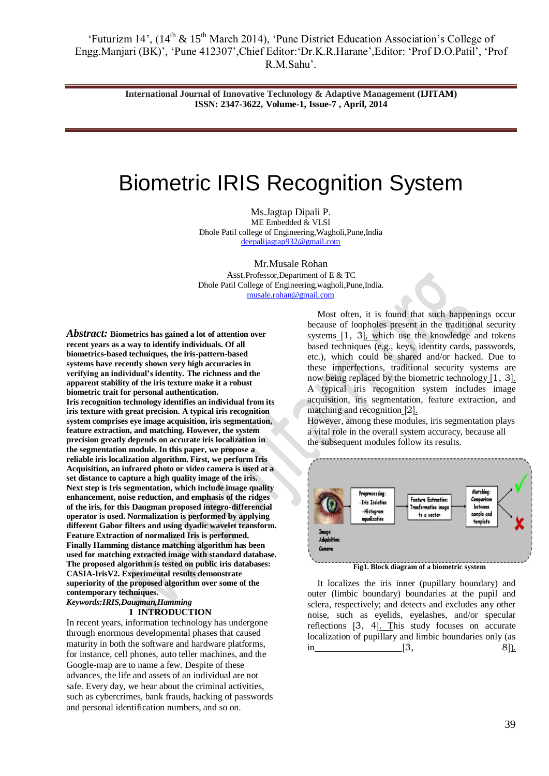'Futurizm  $14'$ ,  $(14<sup>th</sup> \& 15<sup>th</sup>$  March 2014), 'Pune District Education Association's College of Engg.Manjari (BK)', 'Pune 412307', Chief Editor: 'Dr.K.R.Harane', Editor: 'Prof D.O.Patil'. 'Prof R.M.Sahu".

> **International Journal of Innovative Technology & Adaptive Management (IJITAM) ISSN: 2347-3622, Volume-1, Issue-7 , April, 2014**

# Biometric IRIS Recognition System

Ms.Jagtap Dipali P. ME Embedded & VLSI Dhole Patil college of Engineering,Wagholi,Pune,India [deepalijagtap932@gmail.com](mailto:deepalijagtap932@gmail.com)

Mr.Musale Rohan Asst.Professor,Department of E & TC Dhole Patil College of Engineering,wagholi,Pune,India. [musale.rohan@gmail.com](mailto:musale.rohan@gmail.com)

*Abstract:* **Biometrics has gained a lot of attention over recent years as a way to identify individuals. Of all biometrics-based techniques, the iris-pattern-based systems have recently shown very high accuracies in verifying an individual's identity. The richness and the apparent stability of the iris texture make it a robust biometric trait for personal authentication. Iris recognition technology identifies an individual from its iris texture with great precision. A typical iris recognition system comprises eye image acquisition, iris segmentation, feature extraction, and matching. However, the system precision greatly depends on accurate iris localization in the segmentation module. In this paper, we propose a reliable iris localization algorithm. First, we perform Iris Acquisition, an infrared photo or video camera is used at a set distance to capture a high quality image of the iris. Next step is Iris segmentation, which include image quality enhancement, noise reduction, and emphasis of the ridges of the iris, for this Daugman proposed integro-differencial operator is used. Normalization is performed by applying different Gabor filters and using dyadic wavelet transform. Feature Extraction of normalized Iris is performed. Finally Hamming distance matching algorithm has been used for matching extracted image with standard database. The proposed algorithm is tested on public iris databases: CASIA-IrisV2. Experimental results demonstrate superiority of the proposed algorithm over some of the contemporary techniques.** *Keywords:IRIS,Daugman,Hamming*

#### **I INTRODUCTION**

In recent years, information technology has undergone through enormous developmental phases that caused maturity in both the software and hardware platforms, for instance, cell phones, auto teller machines, and the Google-map are to name a few. Despite of these advances, the life and assets of an individual are not safe. Every day, we hear about the criminal activities, such as cybercrimes, bank frauds, hacking of passwords and personal identification numbers, and so on.

Most often, it is found that such happenings occur because of loopholes present in the traditional security systems [\[1, 3\]](../PAPER_90.doc#bookmark35), which use the knowledge and tokens based techniques (e.g., keys, identity cards, passwords, etc.), which could be shared and/or hacked. Due to these imperfections, traditional security systems are now being replaced by the biometric technology [\[1, 3\]](../PAPER_90.doc#bookmark35). A typical iris recognition system includes image acquisition, iris segmentation, feature extraction, and matching and recognition [\[2\]](../PAPER_90.doc#bookmark20).

However, among these modules, iris segmentation plays a vital role in the overall system accuracy, because all the subsequent modules follow its results.



**Fig1. Block diagram of a biometric system**

It localizes the iris inner (pupillary boundary) and outer (limbic boundary) boundaries at the pupil and sclera, respectively; and detects and excludes any other noise, such as eyelids, eyelashes, and/or specular reflections [\[3, 4\]](../PAPER_90.doc#bookmark36). This study focuses on accurate localization of pupillary and limbic boundaries only (as  $\text{in}$  [\[3, 8\]](../PAPER_90.doc#bookmark36)).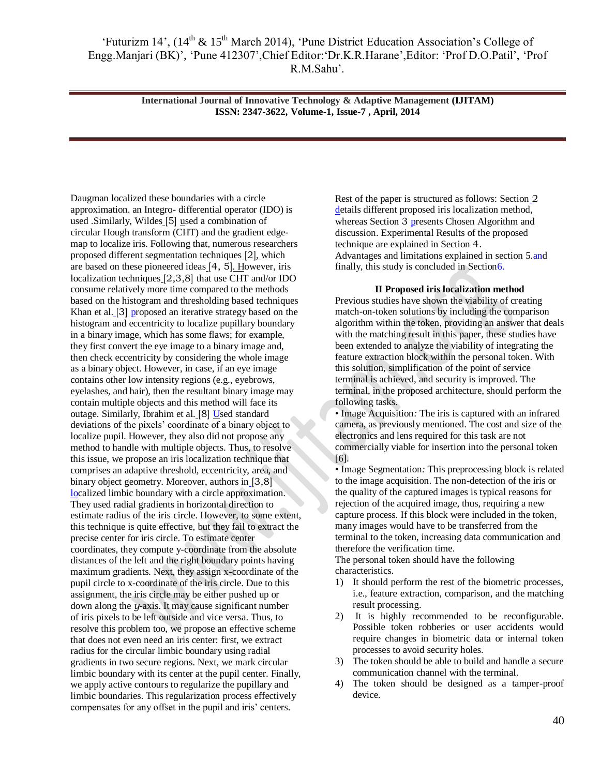**International Journal of Innovative Technology & Adaptive Management (IJITAM) ISSN: 2347-3622, Volume-1, Issue-7 , April, 2014**

Daugman localized these boundaries with a circle approximation. an Integro- differential operator (IDO) is used .Similarly, Wildes [\[5\]](../PAPER_90.doc#bookmark22) used a combination of circular Hough transform (CHT) and the gradient edgemap to localize iris. Following that, numerous researchers proposed different segmentation techniques [\[2\]](../PAPER_90.doc#bookmark20), which are based on these pioneered ideas [\[4, 5\]](../PAPER_90.doc#bookmark21). However, iris localization techniques [\[2,3,8\]](../PAPER_90.doc#bookmark20) that use CHT and/or IDO consume relatively more time compared to the methods based on the histogram and thresholding based techniques Khan et al. [\[3\]](../PAPER_90.doc#bookmark36) proposed an iterative strategy based on the histogram and eccentricity to localize pupillary boundary in a binary image, which has some flaws; for example, they first convert the eye image to a binary image and, then check eccentricity by considering the whole image as a binary object. However, in case, if an eye image contains other low intensity regions (e.g., eyebrows, eyelashes, and hair), then the resultant binary image may contain multiple objects and this method will face its outage. Similarly, Ibrahim et al. [\[8\]](../PAPER_90.doc#bookmark24) Used standard deviations of the pixels" coordinate of a binary object to localize pupil. However, they also did not propose any method to handle with multiple objects. Thus, to resolve this issue, we propose an iris localization technique that comprises an adaptive threshold, eccentricity, area, and binary object geometry. Moreover, authors in [3,8] [loc](../PAPER_90.doc#bookmark36)alized limbic boundary with a circle approximation. They used radial gradients in horizontal direction to estimate radius of the iris circle. However, to some extent, this technique is quite effective, but they fail to extract the precise center for iris circle. To estimate center coordinates, they compute y-coordinate from the absolute distances of the left and the right boundary points having maximum gradients. Next, they assign x-coordinate of the pupil circle to x-coordinate of the iris circle. Due to this assignment, the iris circle may be either pushed up or down along the *y*-axis. It may cause significant number of iris pixels to be left outside and vice versa. Thus, to resolve this problem too, we propose an effective scheme that does not even need an iris center: first, we extract radius for the circular limbic boundary using radial gradients in two secure regions. Next, we mark circular limbic boundary with its center at the pupil center. Finally, we apply active contours to regularize the pupillary and limbic boundaries. This regularization process effectively compensates for any offset in the pupil and iris' centers.

Rest of the paper is structured as follows: Section [2](../PAPER_90.doc#bookmark8)  [de](../PAPER_90.doc#bookmark8)tails different proposed iris localization method, whereas Section [3](../PAPER_90.doc#bookmark17) presents Chosen Algorithm and discussion. Experimental Results of the proposed technique are explained in Section [4.](../PAPER_90.doc#bookmark19) [Advantages and limitations explained in section 5.and](../PAPER_90.doc#bookmark19) finally, this study is concluded in Sectio[n6.](../PAPER_90.doc#bookmark38)

#### **II Proposed iris localization method**

Previous studies have shown the viability of creating match-on-token solutions by including the comparison algorithm within the token, providing an answer that deals with the matching result in this paper, these studies have been extended to analyze the viability of integrating the feature extraction block within the personal token. With this solution, simplification of the point of service terminal is achieved, and security is improved. The terminal, in the proposed architecture, should perform the following tasks.

• Image Acquisition*:* The iris is captured with an infrared camera, as previously mentioned. The cost and size of the electronics and lens required for this task are not commercially viable for insertion into the personal token [6].

• Image Segmentation*:* This preprocessing block is related to the image acquisition. The non-detection of the iris or the quality of the captured images is typical reasons for rejection of the acquired image, thus, requiring a new capture process. If this block were included in the token, many images would have to be transferred from the terminal to the token, increasing data communication and therefore the verification time.

The personal token should have the following characteristics.

- 1) It should perform the rest of the biometric processes, i.e., feature extraction, comparison, and the matching result processing.
- 2) It is highly recommended to be reconfigurable. Possible token robberies or user accidents would require changes in biometric data or internal token processes to avoid security holes.
- 3) The token should be able to build and handle a secure communication channel with the terminal.
- 4) The token should be designed as a tamper-proof device.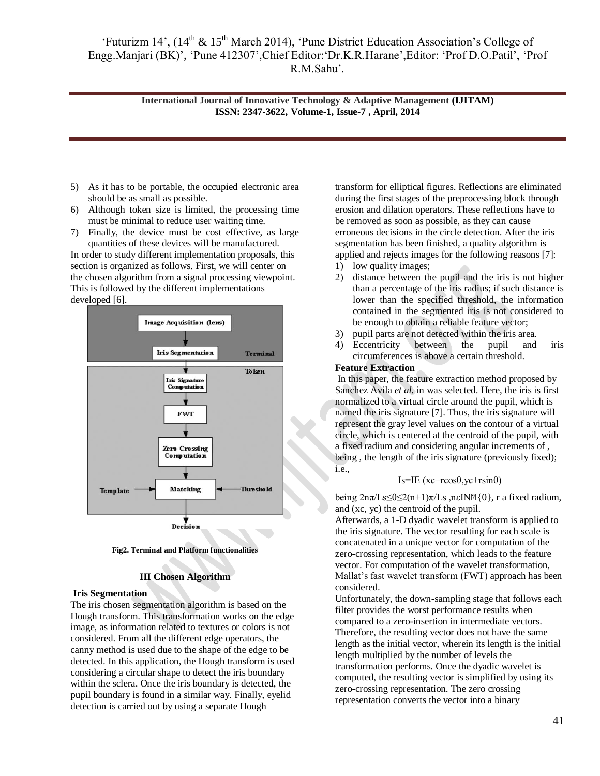'Futurizm 14',  $(14<sup>th</sup> \& 15<sup>th</sup> March 2014)$ , 'Pune District Education Association's College of Engg.Manjari (BK)', 'Pune 412307', Chief Editor: 'Dr.K.R.Harane', Editor: 'Prof D.O.Patil', 'Prof R.M.Sahu".

> **International Journal of Innovative Technology & Adaptive Management (IJITAM) ISSN: 2347-3622, Volume-1, Issue-7 , April, 2014**

- 5) As it has to be portable, the occupied electronic area should be as small as possible.
- 6) Although token size is limited, the processing time must be minimal to reduce user waiting time.
- 7) Finally, the device must be cost effective, as large quantities of these devices will be manufactured.

In order to study different implementation proposals, this section is organized as follows. First, we will center on the chosen algorithm from a signal processing viewpoint. This is followed by the different implementations developed [6].



**Fig2. Terminal and Platform functionalities**

#### **III Chosen Algorithm**

#### **Iris Segmentation**

The iris chosen segmentation algorithm is based on the Hough transform. This transformation works on the edge image, as information related to textures or colors is not considered. From all the different edge operators, the canny method is used due to the shape of the edge to be detected. In this application, the Hough transform is used considering a circular shape to detect the iris boundary within the sclera. Once the iris boundary is detected, the pupil boundary is found in a similar way. Finally, eyelid detection is carried out by using a separate Hough

transform for elliptical figures. Reflections are eliminated during the first stages of the preprocessing block through erosion and dilation operators. These reflections have to be removed as soon as possible, as they can cause erroneous decisions in the circle detection. After the iris segmentation has been finished, a quality algorithm is applied and rejects images for the following reasons [7]:

- 1) low quality images;
- 2) distance between the pupil and the iris is not higher than a percentage of the iris radius; if such distance is lower than the specified threshold, the information contained in the segmented iris is not considered to be enough to obtain a reliable feature vector;
- 3) pupil parts are not detected within the iris area.
- 4) Eccentricity between the pupil and iris circumferences is above a certain threshold.

#### **Feature Extraction**

In this paper, the feature extraction method proposed by Sanchez Avila *et al.* in was selected. Here, the iris is first normalized to a virtual circle around the pupil, which is named the iris signature [7]. Thus, the iris signature will represent the gray level values on the contour of a virtual circle, which is centered at the centroid of the pupil, with a fixed radium and considering angular increments of , being , the length of the iris signature (previously fixed); i.e.,

#### Is=IE (xc+rcosθ,yc+rsinθ)

being  $2n\pi/Ls \leq \theta \leq 2(n+1)\pi/Ls$ , neIN $\mathbb{Z}{0}$ , r a fixed radium, and (xc, yc) the centroid of the pupil.

Afterwards, a 1-D dyadic wavelet transform is applied to the iris signature. The vector resulting for each scale is concatenated in a unique vector for computation of the zero-crossing representation, which leads to the feature vector. For computation of the wavelet transformation, Mallat"s fast wavelet transform (FWT) approach has been considered.

Unfortunately, the down-sampling stage that follows each filter provides the worst performance results when compared to a zero-insertion in intermediate vectors. Therefore, the resulting vector does not have the same length as the initial vector, wherein its length is the initial length multiplied by the number of levels the transformation performs. Once the dyadic wavelet is computed, the resulting vector is simplified by using its zero-crossing representation. The zero crossing representation converts the vector into a binary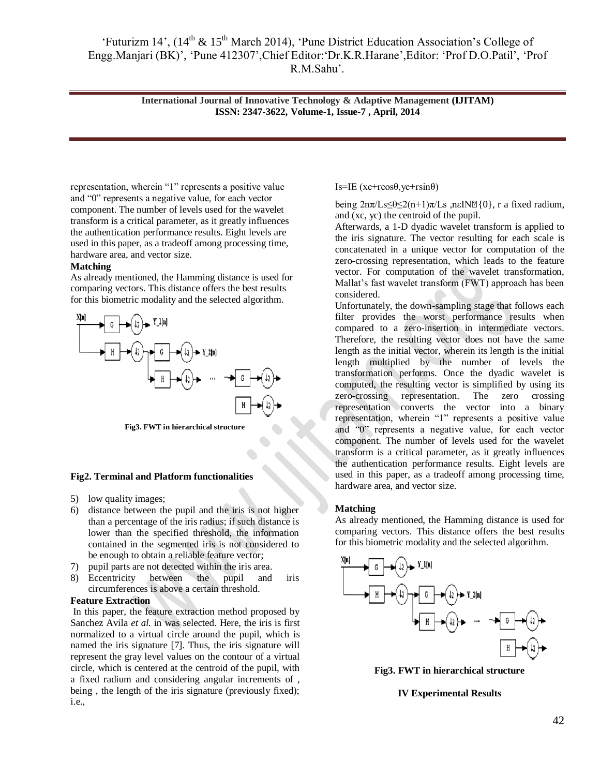**International Journal of Innovative Technology & Adaptive Management (IJITAM) ISSN: 2347-3622, Volume-1, Issue-7 , April, 2014**

representation, wherein "1" represents a positive value and "0" represents a negative value, for each vector component. The number of levels used for the wavelet transform is a critical parameter, as it greatly influences the authentication performance results. Eight levels are used in this paper, as a tradeoff among processing time, hardware area, and vector size.

#### **Matching**

As already mentioned, the Hamming distance is used for comparing vectors. This distance offers the best results for this biometric modality and the selected algorithm.



**Fig3. FWT in hierarchical structure**

#### **Fig2. Terminal and Platform functionalities**

- 5) low quality images;
- 6) distance between the pupil and the iris is not higher than a percentage of the iris radius; if such distance is lower than the specified threshold, the information contained in the segmented iris is not considered to be enough to obtain a reliable feature vector;
- 7) pupil parts are not detected within the iris area.
- 8) Eccentricity between the pupil and iris circumferences is above a certain threshold.

#### **Feature Extraction**

In this paper, the feature extraction method proposed by Sanchez Avila *et al.* in was selected. Here, the iris is first normalized to a virtual circle around the pupil, which is named the iris signature [7]. Thus, the iris signature will represent the gray level values on the contour of a virtual circle, which is centered at the centroid of the pupil, with a fixed radium and considering angular increments of , being , the length of the iris signature (previously fixed); i.e.,

Is=IE ( $xc+rcosθ$ ,  $yc+rsinθ$ )

being  $2n\pi/Ls\leq \theta \leq 2(n+1)\pi/Ls$ , neIN $\mathbb{Z}{0}$ , r a fixed radium, and (xc, yc) the centroid of the pupil.

Afterwards, a 1-D dyadic wavelet transform is applied to the iris signature. The vector resulting for each scale is concatenated in a unique vector for computation of the zero-crossing representation, which leads to the feature vector. For computation of the wavelet transformation, Mallat"s fast wavelet transform (FWT) approach has been considered.

Unfortunately, the down-sampling stage that follows each filter provides the worst performance results when compared to a zero-insertion in intermediate vectors. Therefore, the resulting vector does not have the same length as the initial vector, wherein its length is the initial length multiplied by the number of levels the transformation performs. Once the dyadic wavelet is computed, the resulting vector is simplified by using its zero-crossing representation. The zero crossing representation converts the vector into a binary representation, wherein "1" represents a positive value and "0" represents a negative value, for each vector component. The number of levels used for the wavelet transform is a critical parameter, as it greatly influences the authentication performance results. Eight levels are used in this paper, as a tradeoff among processing time, hardware area, and vector size.

#### **Matching**

As already mentioned, the Hamming distance is used for comparing vectors. This distance offers the best results for this biometric modality and the selected algorithm.



**Fig3. FWT in hierarchical structure**

#### **IV Experimental Results**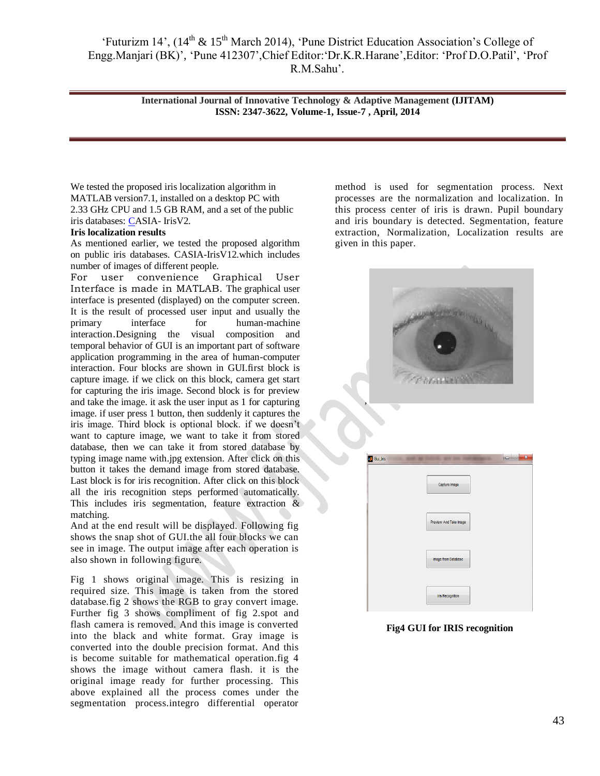'Futurizm 14',  $(14<sup>th</sup> \& 15<sup>th</sup> March 2014)$ , 'Pune District Education Association's College of Engg.Manjari (BK)', 'Pune 412307', Chief Editor: 'Dr.K.R.Harane', Editor: 'Prof D.O.Patil', 'Prof R.M.Sahu".

> **International Journal of Innovative Technology & Adaptive Management (IJITAM) ISSN: 2347-3622, Volume-1, Issue-7 , April, 2014**

We tested the proposed iris localization algorithm in MATLAB version7.1, installed on a desktop PC with 2.33 GHz CPU and 1.5 GB RAM, and a set of the public iris databases: [CA](file:///C:\Documents%20and%20Settings\admin\Desktop\SMB\Futurism_14\PAPER_90.doc%23bookmark28)SIA- IrisV2.

#### **Iris localization results**

As mentioned earlier, we tested the proposed algorithm on public iris databases. CASIA-IrisV12.which includes number of images of different people.

For user convenience Graphical User Interface is made in MATLAB. The graphical user interface is presented (displayed) on the computer screen. It is the result of processed user input and usually the primary interface for human-machine interaction.Designing the visual composition and temporal behavior of GUI is an important part of software application programming in the area of human-computer interaction. Four blocks are shown in GUI.first block is capture image. if we click on this block, camera get start for capturing the iris image. Second block is for preview and take the image. it ask the user input as 1 for capturing image. if user press 1 button, then suddenly it captures the iris image. Third block is optional block. if we doesn"t want to capture image, we want to take it from stored database, then we can take it from stored database by typing image name with.jpg extension. After click on this button it takes the demand image from stored database. Last block is for iris recognition. After click on this block all the iris recognition steps performed automatically. This includes iris segmentation, feature extraction & matching.

And at the end result will be displayed. Following fig shows the snap shot of GUI.the all four blocks we can see in image. The output image after each operation is also shown in following figure.

Fig 1 shows original image. This is resizing in required size. This image is taken from the stored database.fig 2 shows the RGB to gray convert image. Further fig 3 shows compliment of fig 2.spot and flash camera is removed. And this image is converted into the black and white format. Gray image is converted into the double precision format. And this is become suitable for mathematical operation.fig 4 shows the image without camera flash. it is the original image ready for further processing. This above explained all the process comes under the segmentation process.integro differential operator

method is used for segmentation process. Next processes are the normalization and localization. In this process center of iris is drawn. Pupil boundary and iris boundary is detected. Segmentation, feature extraction, Normalization, Localization results are given in this paper.

|                  | artiran contata da     |
|------------------|------------------------|
|                  |                        |
|                  |                        |
|                  | TREASURER              |
| ,                |                        |
|                  |                        |
|                  |                        |
|                  |                        |
| <b>Cui</b> _Iris |                        |
|                  | Capture Image          |
|                  |                        |
|                  | Preview And Take Image |
|                  |                        |
|                  | Image from Database    |
|                  |                        |

**Fig4 GUI for IRIS recognition**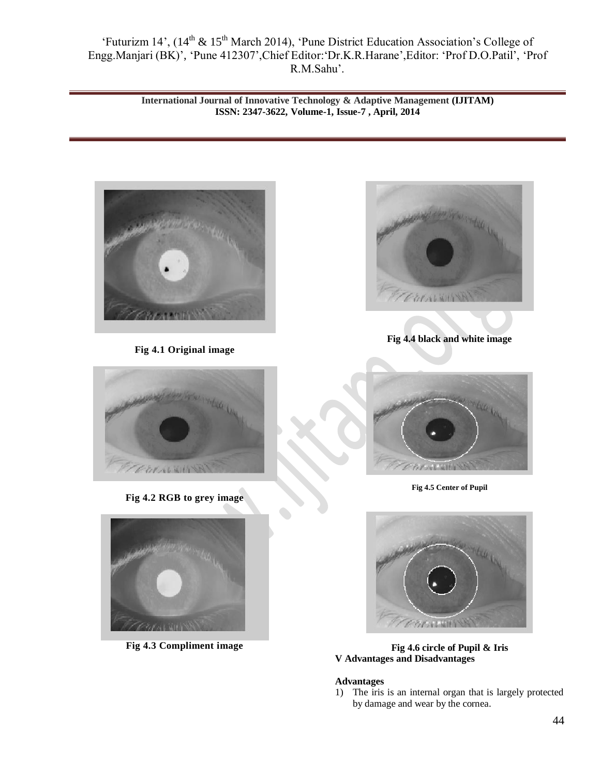'Futurizm 14', (14<sup>th</sup> & 15<sup>th</sup> March 2014), 'Pune District Education Association's College of Engg.Manjari (BK)", "Pune 412307",Chief Editor:"Dr.K.R.Harane",Editor: "Prof D.O.Patil", "Prof R.M.Sahu".

> **International Journal of Innovative Technology & Adaptive Management (IJITAM) ISSN: 2347-3622, Volume-1, Issue-7 , April, 2014**



**Fig 4.1 Original image** 



**Fig 4.2 RGB to grey image**



**Fig 4.3 Compliment image**



**Fig 4.4 black and white image**



**Fig 4.5 Center of Pupil** 



**Fig 4.6 circle of Pupil & Iris V Advantages and Disadvantages**

### **Advantages**

1) The iris is an internal organ that is largely protected by damage and wear by the cornea.